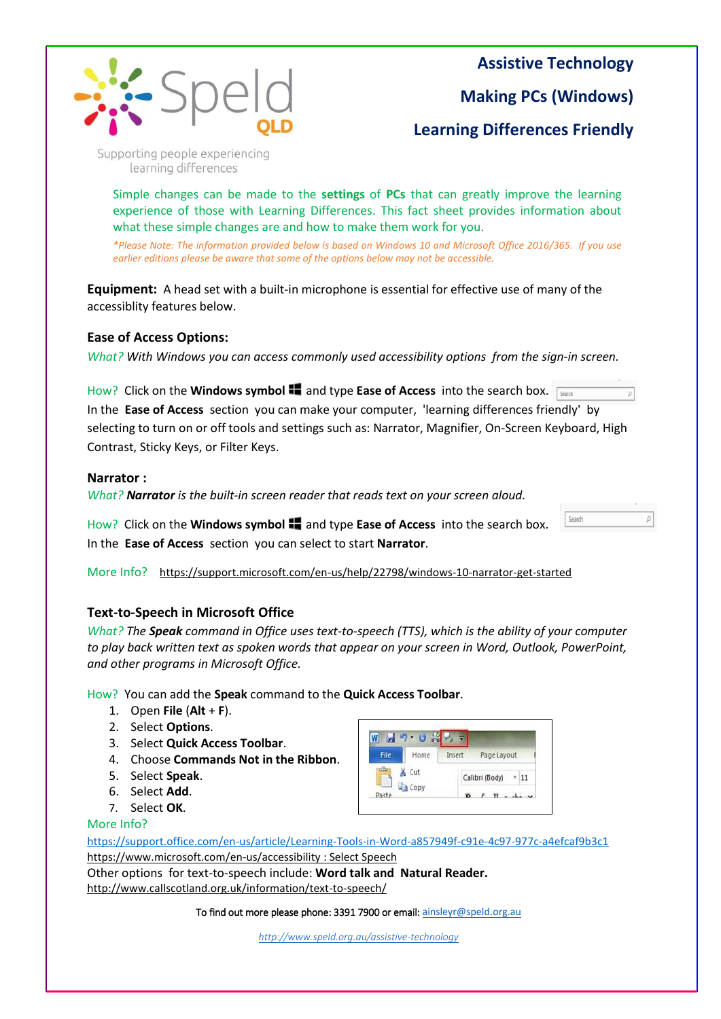

**Assistive Technology**

Search

Ø

**Making PCs (Windows)**

**Learning Differences Friendly**

Supporting people experiencing learning differences

Simple changes can be made to the **settings** of **PCs** that can greatly improve the learning experience of those with Learning Differences. This fact sheet provides information about what these simple changes are and how to make them work for you.

*\*Please Note: The information provided below is based on Windows 10 and Microsoft Office 2016/365. If you use earlier editions please be aware that some of the options below may not be accessible.* 

**Equipment:** A head set with a built-in microphone is essential for effective use of many of the accessiblity features below.

### **Ease of Access Options:**

*What? With Windows you can access commonly used accessibility options from the sign-in screen.*

How? Click on the **Windows symbol <sup>11</sup> and type Ease of Access** into the search box. In the **Ease of Access** section you can make your computer, 'learning differences friendly' by selecting to turn on or off tools and settings such as: Narrator, Magnifier, On-Screen Keyboard, High Contrast, Sticky Keys, or Filter Keys.

### **Narrator :**

*What? Narrator is the built-in screen reader that reads text on your screen aloud.* 

How? Click on the **Windows symbol**  $\blacksquare$  and type **Ease of Access** into the search box. In the **Ease of Access** section you can select to start **Narrator**.

More Info? <https://support.microsoft.com/en-us/help/22798/windows-10-narrator-get-started>

# **Text-to-Speech in Microsoft Office**

*What? The Speak command in Office uses text-to-speech (TTS), which is the ability of your computer to play back written text as spoken words that appear on your screen in Word, Outlook, PowerPoint, and other programs in Microsoft Office.*

How? You can add the **Speak** command to the **Quick Access Toolbar**.

- 1. Open **File** (**Alt** + **F**).
- 2. Select **Options**.
- 3. Select **Quick Access Toolbar**.
- 4. Choose **Commands Not in the Ribbon**.
- 5. Select **Speak**.
- 6. Select **Add**.
- 7. Select **OK**.

### More Info?

 $W = 9.08$ File Home Insert Page Layout X Cut Calibri (Body) ~ 11 Copy Pacto  $T$   $H = -\frac{1}{2}$ 

<https://support.office.com/en-us/article/Learning-Tools-in-Word-a857949f-c91e-4c97-977c-a4efcaf9b3c1> <https://www.microsoft.com/en-us/accessibility> : Select Speech

Other options for text-to-speech include: **Word talk and Natural Reader.** <http://www.callscotland.org.uk/information/text-to-speech/>

To find out more please phone: 3391 7900 or email: [ainsleyr@speld.org.au](file://///speldserver/general/7%20SPELD%20SERVICES%20(Orange)/ASSISTIVE%20TECHNOLOGY/AT%20Flyers,%20Forms%20and%20Brochures/ainsleyr@speld.org.au)

*<http://www.speld.org.au/assistive-technology>*